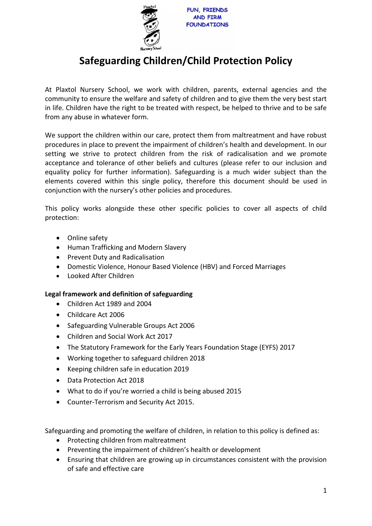

# **Safeguarding Children/Child Protection Policy**

At Plaxtol Nursery School, we work with children, parents, external agencies and the community to ensure the welfare and safety of children and to give them the very best start in life. Children have the right to be treated with respect, be helped to thrive and to be safe from any abuse in whatever form.

We support the children within our care, protect them from maltreatment and have robust procedures in place to prevent the impairment of children's health and development. In our setting we strive to protect children from the risk of radicalisation and we promote acceptance and tolerance of other beliefs and cultures (please refer to our inclusion and equality policy for further information). Safeguarding is a much wider subject than the elements covered within this single policy, therefore this document should be used in conjunction with the nursery's other policies and procedures.

This policy works alongside these other specific policies to cover all aspects of child protection:

- Online safety
- Human Trafficking and Modern Slavery
- Prevent Duty and Radicalisation
- Domestic Violence, Honour Based Violence (HBV) and Forced Marriages
- Looked After Children

# **Legal framework and definition of safeguarding**

- Children Act 1989 and 2004
- Childcare Act 2006
- Safeguarding Vulnerable Groups Act 2006
- Children and Social Work Act 2017
- The Statutory Framework for the Early Years Foundation Stage (EYFS) 2017
- Working together to safeguard children 2018
- Keeping children safe in education 2019
- Data Protection Act 2018
- What to do if you're worried a child is being abused 2015
- Counter-Terrorism and Security Act 2015.

Safeguarding and promoting the welfare of children, in relation to this policy is defined as:

- Protecting children from maltreatment
- Preventing the impairment of children's health or development
- Ensuring that children are growing up in circumstances consistent with the provision of safe and effective care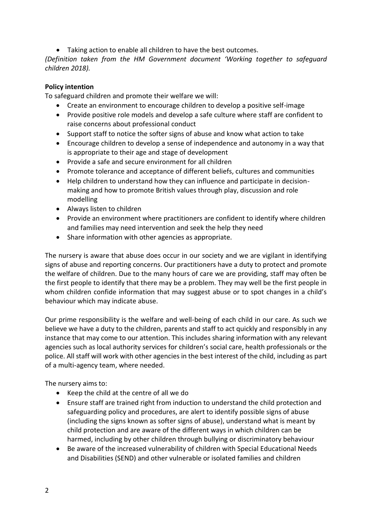• Taking action to enable all children to have the best outcomes.

*(Definition taken from the HM Government document 'Working together to safeguard children 2018).*

# **Policy intention**

To safeguard children and promote their welfare we will:

- Create an environment to encourage children to develop a positive self-image
- Provide positive role models and develop a safe culture where staff are confident to raise concerns about professional conduct
- Support staff to notice the softer signs of abuse and know what action to take
- Encourage children to develop a sense of independence and autonomy in a way that is appropriate to their age and stage of development
- Provide a safe and secure environment for all children
- Promote tolerance and acceptance of different beliefs, cultures and communities
- Help children to understand how they can influence and participate in decisionmaking and how to promote British values through play, discussion and role modelling
- Always listen to children
- Provide an environment where practitioners are confident to identify where children and families may need intervention and seek the help they need
- Share information with other agencies as appropriate.

The nursery is aware that abuse does occur in our society and we are vigilant in identifying signs of abuse and reporting concerns. Our practitioners have a duty to protect and promote the welfare of children. Due to the many hours of care we are providing, staff may often be the first people to identify that there may be a problem. They may well be the first people in whom children confide information that may suggest abuse or to spot changes in a child's behaviour which may indicate abuse.

Our prime responsibility is the welfare and well-being of each child in our care. As such we believe we have a duty to the children, parents and staff to act quickly and responsibly in any instance that may come to our attention. This includes sharing information with any relevant agencies such as local authority services for children's social care, health professionals or the police. All staff will work with other agencies in the best interest of the child, including as part of a multi-agency team, where needed.

The nursery aims to:

- Keep the child at the centre of all we do
- Ensure staff are trained right from induction to understand the child protection and safeguarding policy and procedures, are alert to identify possible signs of abuse (including the signs known as softer signs of abuse), understand what is meant by child protection and are aware of the different ways in which children can be harmed, including by other children through bullying or discriminatory behaviour
- Be aware of the increased vulnerability of children with Special Educational Needs and Disabilities (SEND) and other vulnerable or isolated families and children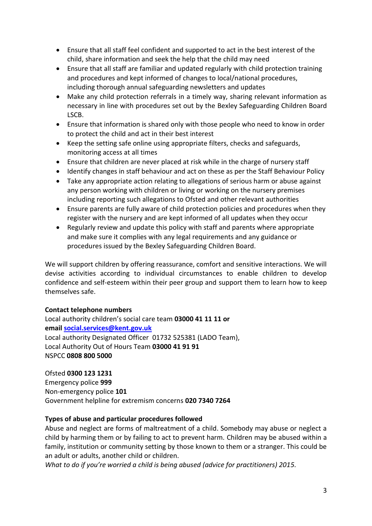- Ensure that all staff feel confident and supported to act in the best interest of the child, share information and seek the help that the child may need
- Ensure that all staff are familiar and updated regularly with child protection training and procedures and kept informed of changes to local/national procedures, including thorough annual safeguarding newsletters and updates
- Make any child protection referrals in a timely way, sharing relevant information as necessary in line with procedures set out by the Bexley Safeguarding Children Board LSCB.
- Ensure that information is shared only with those people who need to know in order to protect the child and act in their best interest
- Keep the setting safe online using appropriate filters, checks and safeguards, monitoring access at all times
- Ensure that children are never placed at risk while in the charge of nursery staff
- Identify changes in staff behaviour and act on these as per the Staff Behaviour Policy
- Take any appropriate action relating to allegations of serious harm or abuse against any person working with children or living or working on the nursery premises including reporting such allegations to Ofsted and other relevant authorities
- Ensure parents are fully aware of child protection policies and procedures when they register with the nursery and are kept informed of all updates when they occur
- Regularly review and update this policy with staff and parents where appropriate and make sure it complies with any legal requirements and any guidance or procedures issued by the Bexley Safeguarding Children Board.

We will support children by offering reassurance, comfort and sensitive interactions. We will devise activities according to individual circumstances to enable children to develop confidence and self-esteem within their peer group and support them to learn how to keep themselves safe.

# **Contact telephone numbers**

Local authority children's social care team **03000 41 11 11 or email [social.services@kent.gov.uk](mailto:social.services@kent.gov.uk)** Local authority Designated Officer 01732 525381 (LADO Team), Local Authority Out of Hours Team **03000 41 91 91** NSPCC **0808 800 5000**

Ofsted **0300 123 1231** Emergency police **999** Non-emergency police **101**  Government helpline for extremism concerns **020 7340 7264**

# **Types of abuse and particular procedures followed**

Abuse and neglect are forms of maltreatment of a child. Somebody may abuse or neglect a child by harming them or by failing to act to prevent harm. Children may be abused within a family, institution or community setting by those known to them or a stranger. This could be an adult or adults, another child or children.

*What to do if you're worried a child is being abused (advice for practitioners) 2015.*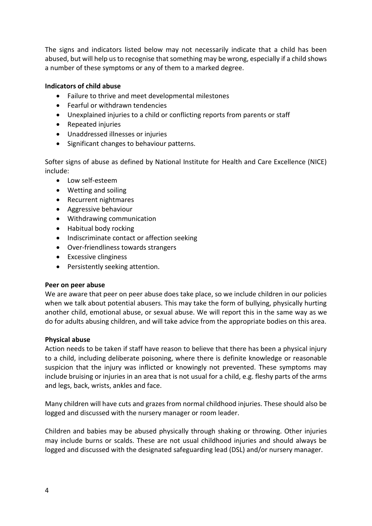The signs and indicators listed below may not necessarily indicate that a child has been abused, but will help us to recognise that something may be wrong, especially if a child shows a number of these symptoms or any of them to a marked degree.

# **Indicators of child abuse**

- Failure to thrive and meet developmental milestones
- Fearful or withdrawn tendencies
- Unexplained injuries to a child or conflicting reports from parents or staff
- Repeated injuries
- Unaddressed illnesses or injuries
- Significant changes to behaviour patterns.

Softer signs of abuse as defined by National Institute for Health and Care Excellence (NICE) include:

- Low self-esteem
- Wetting and soiling
- Recurrent nightmares
- Aggressive behaviour
- Withdrawing communication
- Habitual body rocking
- Indiscriminate contact or affection seeking
- Over-friendliness towards strangers
- Excessive clinginess
- Persistently seeking attention.

#### **Peer on peer abuse**

We are aware that peer on peer abuse does take place, so we include children in our policies when we talk about potential abusers. This may take the form of bullying, physically hurting another child, emotional abuse, or sexual abuse. We will report this in the same way as we do for adults abusing children, and will take advice from the appropriate bodies on this area.

#### **Physical abuse**

Action needs to be taken if staff have reason to believe that there has been a physical injury to a child, including deliberate poisoning, where there is definite knowledge or reasonable suspicion that the injury was inflicted or knowingly not prevented. These symptoms may include bruising or injuries in an area that is not usual for a child, e.g. fleshy parts of the arms and legs, back, wrists, ankles and face.

Many children will have cuts and grazes from normal childhood injuries. These should also be logged and discussed with the nursery manager or room leader.

Children and babies may be abused physically through shaking or throwing. Other injuries may include burns or scalds. These are not usual childhood injuries and should always be logged and discussed with the designated safeguarding lead (DSL) and/or nursery manager.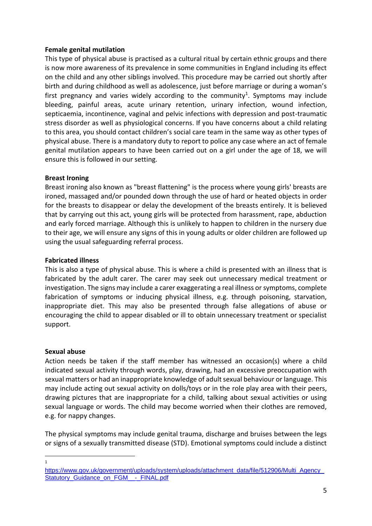#### **Female genital mutilation**

This type of physical abuse is practised as a cultural ritual by certain ethnic groups and there is now more awareness of its prevalence in some communities in England including its effect on the child and any other siblings involved. This procedure may be carried out shortly after birth and during childhood as well as adolescence, just before marriage or during a woman's first pregnancy and varies widely according to the community<sup>1</sup>. Symptoms may include bleeding, painful areas, acute urinary retention, urinary infection, wound infection, septicaemia, incontinence, vaginal and pelvic infections with depression and post-traumatic stress disorder as well as physiological concerns. If you have concerns about a child relating to this area, you should contact children's social care team in the same way as other types of physical abuse. There is a mandatory duty to report to police any case where an act of female genital mutilation appears to have been carried out on a girl under the age of 18, we will ensure this is followed in our setting.

#### **Breast Ironing**

Breast ironing also known as "breast flattening" is the process where young girls' breasts are ironed, massaged and/or pounded down through the use of hard or heated objects in order for the breasts to disappear or delay the development of the breasts entirely. It is believed that by carrying out this act, young girls will be protected from harassment, rape, abduction and early forced marriage. Although this is unlikely to happen to children in the nursery due to their age, we will ensure any signs of this in young adults or older children are followed up using the usual safeguarding referral process.

#### **Fabricated illness**

This is also a type of physical abuse. This is where a child is presented with an illness that is fabricated by the adult carer. The carer may seek out unnecessary medical treatment or investigation. The signs may include a carer exaggerating a real illness or symptoms, complete fabrication of symptoms or inducing physical illness, e.g. through poisoning, starvation, inappropriate diet. This may also be presented through false allegations of abuse or encouraging the child to appear disabled or ill to obtain unnecessary treatment or specialist support.

#### **Sexual abuse**

Action needs be taken if the staff member has witnessed an occasion(s) where a child indicated sexual activity through words, play, drawing, had an excessive preoccupation with sexual matters or had an inappropriate knowledge of adult sexual behaviour or language. This may include acting out sexual activity on dolls/toys or in the role play area with their peers, drawing pictures that are inappropriate for a child, talking about sexual activities or using sexual language or words. The child may become worried when their clothes are removed, e.g. for nappy changes.

The physical symptoms may include genital trauma, discharge and bruises between the legs or signs of a sexually transmitted disease (STD). Emotional symptoms could include a distinct

1

https://www.gov.uk/government/uploads/system/uploads/attachment\_data/file/512906/Multi\_Agency [Statutory\\_Guidance\\_on\\_FGM\\_\\_-\\_FINAL.pdf](https://www.gov.uk/government/uploads/system/uploads/attachment_data/file/512906/Multi_Agency_Statutory_Guidance_on_FGM__-_FINAL.pdf)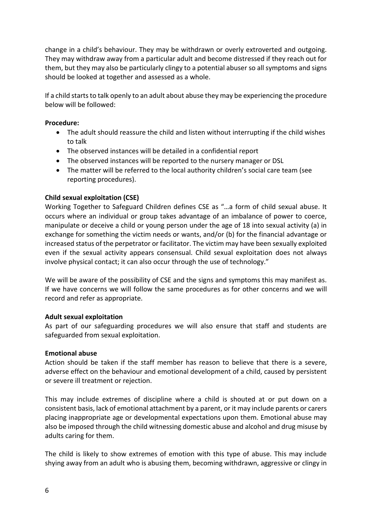change in a child's behaviour. They may be withdrawn or overly extroverted and outgoing. They may withdraw away from a particular adult and become distressed if they reach out for them, but they may also be particularly clingy to a potential abuser so all symptoms and signs should be looked at together and assessed as a whole.

If a child starts to talk openly to an adult about abuse they may be experiencing the procedure below will be followed:

#### **Procedure:**

- The adult should reassure the child and listen without interrupting if the child wishes to talk
- The observed instances will be detailed in a confidential report
- The observed instances will be reported to the nursery manager or DSL
- The matter will be referred to the local authority children's social care team (see reporting procedures).

#### **Child sexual exploitation (CSE)**

Working Together to Safeguard Children defines CSE as "…a form of child sexual abuse. It occurs where an individual or group takes advantage of an imbalance of power to coerce, manipulate or deceive a child or young person under the age of 18 into sexual activity (a) in exchange for something the victim needs or wants, and/or (b) for the financial advantage or increased status of the perpetrator or facilitator. The victim may have been sexually exploited even if the sexual activity appears consensual. Child sexual exploitation does not always involve physical contact; it can also occur through the use of technology."

We will be aware of the possibility of CSE and the signs and symptoms this may manifest as. If we have concerns we will follow the same procedures as for other concerns and we will record and refer as appropriate.

#### **Adult sexual exploitation**

As part of our safeguarding procedures we will also ensure that staff and students are safeguarded from sexual exploitation.

#### **Emotional abuse**

Action should be taken if the staff member has reason to believe that there is a severe, adverse effect on the behaviour and emotional development of a child, caused by persistent or severe ill treatment or rejection.

This may include extremes of discipline where a child is shouted at or put down on a consistent basis, lack of emotional attachment by a parent, or it may include parents or carers placing inappropriate age or developmental expectations upon them. Emotional abuse may also be imposed through the child witnessing domestic abuse and alcohol and drug misuse by adults caring for them.

The child is likely to show extremes of emotion with this type of abuse. This may include shying away from an adult who is abusing them, becoming withdrawn, aggressive or clingy in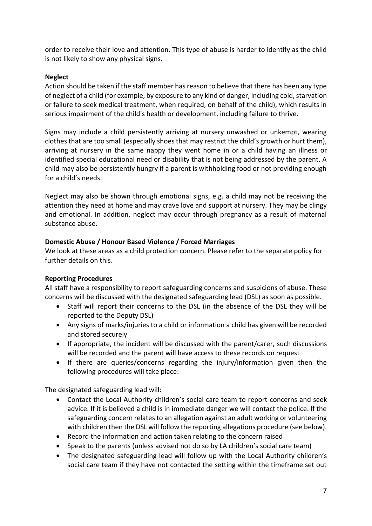order to receive their love and attention. This type of abuse is harder to identify as the child is not likely to show any physical signs.

# **Neglect**

Action should be taken if the staff member has reason to believe that there has been any type of neglect of a child (for example, by exposure to any kind of danger, including cold, starvation or failure to seek medical treatment, when required, on behalf of the child), which results in serious impairment of the child's health or development, including failure to thrive.

Signs may include a child persistently arriving at nursery unwashed or unkempt, wearing clothes that are too small (especially shoes that may restrict the child's growth or hurt them), arriving at nursery in the same nappy they went home in or a child having an illness or identified special educational need or disability that is not being addressed by the parent. A child may also be persistently hungry if a parent is withholding food or not providing enough for a child's needs.

Neglect may also be shown through emotional signs, e.g. a child may not be receiving the attention they need at home and may crave love and support at nursery. They may be clingy and emotional. In addition, neglect may occur through pregnancy as a result of maternal substance abuse.

# **Domestic Abuse / Honour Based Violence / Forced Marriages**

We look at these areas as a child protection concern. Please refer to the separate policy for further details on this.

# **Reporting Procedures**

All staff have a responsibility to report safeguarding concerns and suspicions of abuse. These concerns will be discussed with the designated safeguarding lead (DSL) as soon as possible.

- Staff will report their concerns to the DSL (in the absence of the DSL they will be reported to the Deputy DSL)
- Any signs of marks/injuries to a child or information a child has given will be recorded and stored securely
- If appropriate, the incident will be discussed with the parent/carer, such discussions will be recorded and the parent will have access to these records on request
- If there are queries/concerns regarding the injury/information given then the following procedures will take place:

The designated safeguarding lead will:

- Contact the Local Authority children's social care team to report concerns and seek advice. If it is believed a child is in immediate danger we will contact the police. If the safeguarding concern relates to an allegation against an adult working or volunteering with children then the DSL will follow the reporting allegations procedure (see below).
- Record the information and action taken relating to the concern raised
- Speak to the parents (unless advised not do so by LA children's social care team)
- The designated safeguarding lead will follow up with the Local Authority children's social care team if they have not contacted the setting within the timeframe set out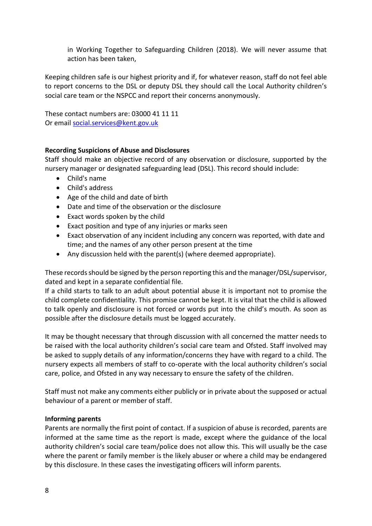in Working Together to Safeguarding Children (2018). We will never assume that action has been taken,

Keeping children safe is our highest priority and if, for whatever reason, staff do not feel able to report concerns to the DSL or deputy DSL they should call the Local Authority children's social care team or the NSPCC and report their concerns anonymously.

These contact numbers are: 03000 41 11 11 Or email [social.services@kent.gov.uk](mailto:social.services@kent.gov.uk)

# **Recording Suspicions of Abuse and Disclosures**

Staff should make an objective record of any observation or disclosure, supported by the nursery manager or designated safeguarding lead (DSL). This record should include:

- Child's name
- Child's address
- Age of the child and date of birth
- Date and time of the observation or the disclosure
- Exact words spoken by the child
- Exact position and type of any injuries or marks seen
- Exact observation of any incident including any concern was reported, with date and time; and the names of any other person present at the time
- Any discussion held with the parent(s) (where deemed appropriate).

These records should be signed by the person reporting this and the manager/DSL/supervisor, dated and kept in a separate confidential file.

If a child starts to talk to an adult about potential abuse it is important not to promise the child complete confidentiality. This promise cannot be kept. It is vital that the child is allowed to talk openly and disclosure is not forced or words put into the child's mouth. As soon as possible after the disclosure details must be logged accurately.

It may be thought necessary that through discussion with all concerned the matter needs to be raised with the local authority children's social care team and Ofsted. Staff involved may be asked to supply details of any information/concerns they have with regard to a child. The nursery expects all members of staff to co-operate with the local authority children's social care, police, and Ofsted in any way necessary to ensure the safety of the children.

Staff must not make any comments either publicly or in private about the supposed or actual behaviour of a parent or member of staff.

# **Informing parents**

Parents are normally the first point of contact. If a suspicion of abuse is recorded, parents are informed at the same time as the report is made, except where the guidance of the local authority children's social care team/police does not allow this. This will usually be the case where the parent or family member is the likely abuser or where a child may be endangered by this disclosure. In these cases the investigating officers will inform parents.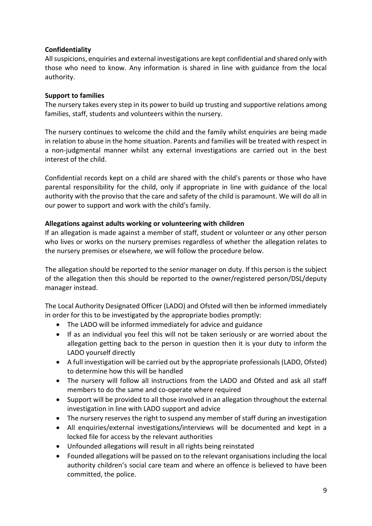# **Confidentiality**

All suspicions, enquiries and external investigations are kept confidential and shared only with those who need to know. Any information is shared in line with guidance from the local authority.

# **Support to families**

The nursery takes every step in its power to build up trusting and supportive relations among families, staff, students and volunteers within the nursery.

The nursery continues to welcome the child and the family whilst enquiries are being made in relation to abuse in the home situation. Parents and families will be treated with respect in a non-judgmental manner whilst any external investigations are carried out in the best interest of the child.

Confidential records kept on a child are shared with the child's parents or those who have parental responsibility for the child, only if appropriate in line with guidance of the local authority with the proviso that the care and safety of the child is paramount. We will do all in our power to support and work with the child's family.

# **Allegations against adults working or volunteering with children**

If an allegation is made against a member of staff, student or volunteer or any other person who lives or works on the nursery premises regardless of whether the allegation relates to the nursery premises or elsewhere, we will follow the procedure below.

The allegation should be reported to the senior manager on duty. If this person is the subject of the allegation then this should be reported to the owner/registered person/DSL/deputy manager instead.

The Local Authority Designated Officer (LADO) and Ofsted will then be informed immediately in order for this to be investigated by the appropriate bodies promptly:

- The LADO will be informed immediately for advice and guidance
- If as an individual you feel this will not be taken seriously or are worried about the allegation getting back to the person in question then it is your duty to inform the LADO yourself directly
- A full investigation will be carried out by the appropriate professionals (LADO, Ofsted) to determine how this will be handled
- The nursery will follow all instructions from the LADO and Ofsted and ask all staff members to do the same and co-operate where required
- Support will be provided to all those involved in an allegation throughout the external investigation in line with LADO support and advice
- The nursery reserves the right to suspend any member of staff during an investigation
- All enquiries/external investigations/interviews will be documented and kept in a locked file for access by the relevant authorities
- Unfounded allegations will result in all rights being reinstated
- Founded allegations will be passed on to the relevant organisations including the local authority children's social care team and where an offence is believed to have been committed, the police.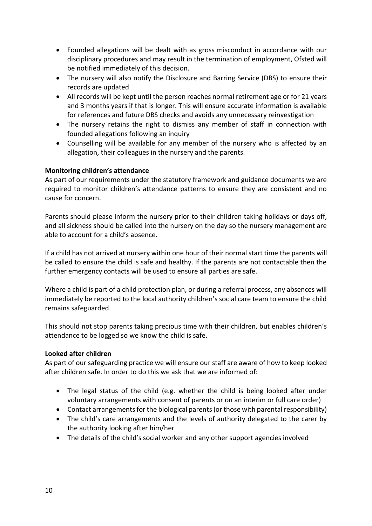- Founded allegations will be dealt with as gross misconduct in accordance with our disciplinary procedures and may result in the termination of employment, Ofsted will be notified immediately of this decision.
- The nursery will also notify the Disclosure and Barring Service (DBS) to ensure their records are updated
- All records will be kept until the person reaches normal retirement age or for 21 years and 3 months years if that is longer. This will ensure accurate information is available for references and future DBS checks and avoids any unnecessary reinvestigation
- The nursery retains the right to dismiss any member of staff in connection with founded allegations following an inquiry
- Counselling will be available for any member of the nursery who is affected by an allegation, their colleagues in the nursery and the parents.

# **Monitoring children's attendance**

As part of our requirements under the statutory framework and guidance documents we are required to monitor children's attendance patterns to ensure they are consistent and no cause for concern.

Parents should please inform the nursery prior to their children taking holidays or days off, and all sickness should be called into the nursery on the day so the nursery management are able to account for a child's absence.

If a child has not arrived at nursery within one hour of their normal start time the parents will be called to ensure the child is safe and healthy. If the parents are not contactable then the further emergency contacts will be used to ensure all parties are safe.

Where a child is part of a child protection plan, or during a referral process, any absences will immediately be reported to the local authority children's social care team to ensure the child remains safeguarded.

This should not stop parents taking precious time with their children, but enables children's attendance to be logged so we know the child is safe.

#### **Looked after children**

As part of our safeguarding practice we will ensure our staff are aware of how to keep looked after children safe. In order to do this we ask that we are informed of:

- The legal status of the child (e.g. whether the child is being looked after under voluntary arrangements with consent of parents or on an interim or full care order)
- Contact arrangements for the biological parents (or those with parental responsibility)
- The child's care arrangements and the levels of authority delegated to the carer by the authority looking after him/her
- The details of the child's social worker and any other support agencies involved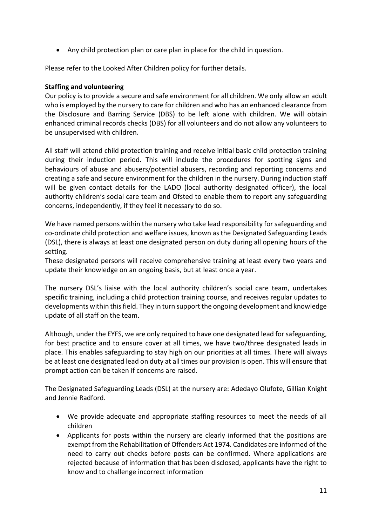• Any child protection plan or care plan in place for the child in question.

Please refer to the Looked After Children policy for further details.

#### **Staffing and volunteering**

Our policy is to provide a secure and safe environment for all children. We only allow an adult who is employed by the nursery to care for children and who has an enhanced clearance from the Disclosure and Barring Service (DBS) to be left alone with children. We will obtain enhanced criminal records checks (DBS) for all volunteers and do not allow any volunteers to be unsupervised with children.

All staff will attend child protection training and receive initial basic child protection training during their induction period. This will include the procedures for spotting signs and behaviours of abuse and abusers/potential abusers, recording and reporting concerns and creating a safe and secure environment for the children in the nursery. During induction staff will be given contact details for the LADO (local authority designated officer), the local authority children's social care team and Ofsted to enable them to report any safeguarding concerns, independently, if they feel it necessary to do so.

We have named persons within the nursery who take lead responsibility for safeguarding and co-ordinate child protection and welfare issues, known as the Designated Safeguarding Leads (DSL), there is always at least one designated person on duty during all opening hours of the setting.

These designated persons will receive comprehensive training at least every two years and update their knowledge on an ongoing basis, but at least once a year.

The nursery DSL's liaise with the local authority children's social care team, undertakes specific training, including a child protection training course, and receives regular updates to developments within this field. They in turn support the ongoing development and knowledge update of all staff on the team.

Although, under the EYFS, we are only required to have one designated lead for safeguarding, for best practice and to ensure cover at all times, we have two/three designated leads in place. This enables safeguarding to stay high on our priorities at all times. There will always be at least one designated lead on duty at all times our provision is open. This will ensure that prompt action can be taken if concerns are raised.

The Designated Safeguarding Leads (DSL) at the nursery are: Adedayo Olufote, Gillian Knight and Jennie Radford.

- We provide adequate and appropriate staffing resources to meet the needs of all children
- Applicants for posts within the nursery are clearly informed that the positions are exempt from the Rehabilitation of Offenders Act 1974. Candidates are informed of the need to carry out checks before posts can be confirmed. Where applications are rejected because of information that has been disclosed, applicants have the right to know and to challenge incorrect information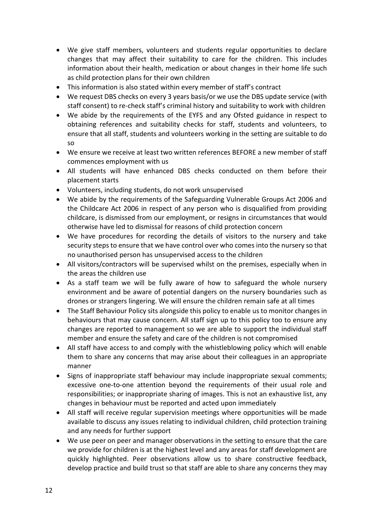- We give staff members, volunteers and students regular opportunities to declare changes that may affect their suitability to care for the children. This includes information about their health, medication or about changes in their home life such as child protection plans for their own children
- This information is also stated within every member of staff's contract
- We request DBS checks on every 3 years basis/or we use the DBS update service (with staff consent) to re-check staff's criminal history and suitability to work with children
- We abide by the requirements of the EYFS and any Ofsted guidance in respect to obtaining references and suitability checks for staff, students and volunteers, to ensure that all staff, students and volunteers working in the setting are suitable to do so
- We ensure we receive at least two written references BEFORE a new member of staff commences employment with us
- All students will have enhanced DBS checks conducted on them before their placement starts
- Volunteers, including students, do not work unsupervised
- We abide by the requirements of the Safeguarding Vulnerable Groups Act 2006 and the Childcare Act 2006 in respect of any person who is disqualified from providing childcare, is dismissed from our employment, or resigns in circumstances that would otherwise have led to dismissal for reasons of child protection concern
- We have procedures for recording the details of visitors to the nursery and take security steps to ensure that we have control over who comes into the nursery so that no unauthorised person has unsupervised access to the children
- All visitors/contractors will be supervised whilst on the premises, especially when in the areas the children use
- As a staff team we will be fully aware of how to safeguard the whole nursery environment and be aware of potential dangers on the nursery boundaries such as drones or strangers lingering. We will ensure the children remain safe at all times
- The Staff Behaviour Policy sits alongside this policy to enable us to monitor changes in behaviours that may cause concern. All staff sign up to this policy too to ensure any changes are reported to management so we are able to support the individual staff member and ensure the safety and care of the children is not compromised
- All staff have access to and comply with the whistleblowing policy which will enable them to share any concerns that may arise about their colleagues in an appropriate manner
- Signs of inappropriate staff behaviour may include inappropriate sexual comments; excessive one-to-one attention beyond the requirements of their usual role and responsibilities; or inappropriate sharing of images. This is not an exhaustive list, any changes in behaviour must be reported and acted upon immediately
- All staff will receive regular supervision meetings where opportunities will be made available to discuss any issues relating to individual children, child protection training and any needs for further support
- We use peer on peer and manager observations in the setting to ensure that the care we provide for children is at the highest level and any areas for staff development are quickly highlighted. Peer observations allow us to share constructive feedback, develop practice and build trust so that staff are able to share any concerns they may